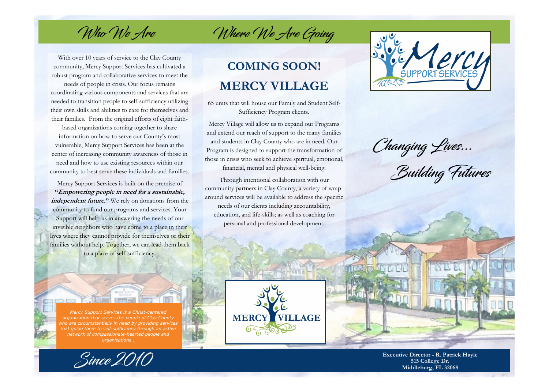Who We Are

With over 10 years of service to the Clay County community, Mercy Support Services has cultivated a robust program and collaborative services to meet the

needs of people in crisis. Our focus remains coordinating various components and services that are needed to transition people to self-sufficiency utilizing their own skills and abilities to care for themselves and their families. From the original efforts of eight faith-

based organizations coming together to share information on how to serve our County's most vulnerable, Mercy Support Services has been at the center of increasing community awareness of those in need and how to use existing resources within our community to best serve these individuals and families.

Mercy Support Services is built on the premise of **"Empowering people in need for a sustainable, independent future."** We rely on donations from the community to fund our programs and services. Your Support will help us in answering the needs of our invisible neighbors who have come to a place in their lives where they cannot provide for themselves or their families without help. Together, we can lead them back to a place of self-sufficiency.

## **COMING SOON! MERCY VILLAGE**

Where We Are Going

65 units that will house our Family and Student Self-Sufficiency Program clients.

Mercy Village will allow us to expand our Programs and extend our reach of support to the many families and students in Clay County who are in need. Our Program is designed to support the transformation of those in crisis who seek to achieve spiritual, emotional,

financial, mental and physical well-being.

Through intentional collaboration with our community partners in Clay County, a variety of wraparound services will be available to address the specific needs of our clients including accountability, education, and life-skills; as well as coaching for personal and professional development.

**MERCY** 

 $\sigma$  (6)

**VILLAGE** 



Changing Lives...<br>Building Futures





*Mercy Support Services is a Christ-centered* 

**Executive Director - R. Patrick Hayle 515 College Dr. Middleburg, FL 32068**